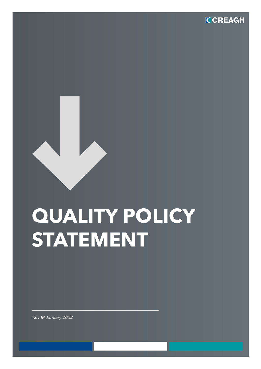

## **QUALITY POLICY STATEMENT**

*Rev M January 2022*